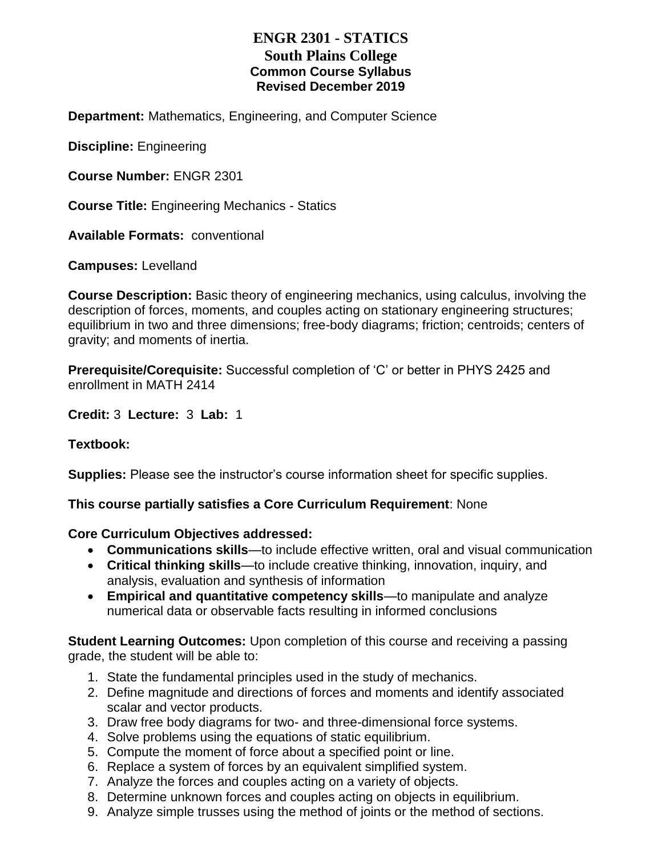## **ENGR 2301 - STATICS South Plains College Common Course Syllabus Revised December 2019**

**Department:** Mathematics, Engineering, and Computer Science

**Discipline:** Engineering

**Course Number:** ENGR 2301

**Course Title:** Engineering Mechanics - Statics

**Available Formats:** conventional

**Campuses:** Levelland

**Course Description:** Basic theory of engineering mechanics, using calculus, involving the description of forces, moments, and couples acting on stationary engineering structures; equilibrium in two and three dimensions; free-body diagrams; friction; centroids; centers of gravity; and moments of inertia.

**Prerequisite/Corequisite:** Successful completion of 'C' or better in PHYS 2425 and enrollment in MATH 2414

**Credit:** 3 **Lecture:** 3 **Lab:** 1

## **Textbook:**

**Supplies:** Please see the instructor's course information sheet for specific supplies.

## **This course partially satisfies a Core Curriculum Requirement**: None

#### **Core Curriculum Objectives addressed:**

- **Communications skills**—to include effective written, oral and visual communication
- **Critical thinking skills**—to include creative thinking, innovation, inquiry, and analysis, evaluation and synthesis of information
- **Empirical and quantitative competency skills**—to manipulate and analyze numerical data or observable facts resulting in informed conclusions

**Student Learning Outcomes:** Upon completion of this course and receiving a passing grade, the student will be able to:

- 1. State the fundamental principles used in the study of mechanics.
- 2. Define magnitude and directions of forces and moments and identify associated scalar and vector products.
- 3. Draw free body diagrams for two- and three-dimensional force systems.
- 4. Solve problems using the equations of static equilibrium.
- 5. Compute the moment of force about a specified point or line.
- 6. Replace a system of forces by an equivalent simplified system.
- 7. Analyze the forces and couples acting on a variety of objects.
- 8. Determine unknown forces and couples acting on objects in equilibrium.
- 9. Analyze simple trusses using the method of joints or the method of sections.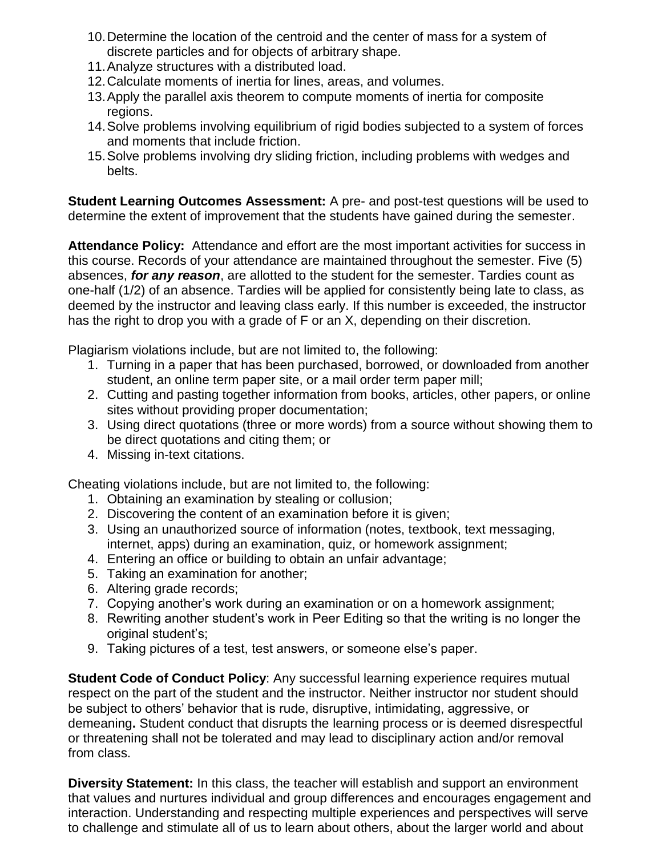- 10.Determine the location of the centroid and the center of mass for a system of discrete particles and for objects of arbitrary shape.
- 11.Analyze structures with a distributed load.
- 12.Calculate moments of inertia for lines, areas, and volumes.
- 13.Apply the parallel axis theorem to compute moments of inertia for composite regions.
- 14.Solve problems involving equilibrium of rigid bodies subjected to a system of forces and moments that include friction.
- 15.Solve problems involving dry sliding friction, including problems with wedges and belts.

**Student Learning Outcomes Assessment:** A pre- and post-test questions will be used to determine the extent of improvement that the students have gained during the semester.

**Attendance Policy:** Attendance and effort are the most important activities for success in this course. Records of your attendance are maintained throughout the semester. Five (5) absences, *for any reason*, are allotted to the student for the semester. Tardies count as one-half (1/2) of an absence. Tardies will be applied for consistently being late to class, as deemed by the instructor and leaving class early. If this number is exceeded, the instructor has the right to drop you with a grade of F or an X, depending on their discretion.

Plagiarism violations include, but are not limited to, the following:

- 1. Turning in a paper that has been purchased, borrowed, or downloaded from another student, an online term paper site, or a mail order term paper mill;
- 2. Cutting and pasting together information from books, articles, other papers, or online sites without providing proper documentation;
- 3. Using direct quotations (three or more words) from a source without showing them to be direct quotations and citing them; or
- 4. Missing in-text citations.

Cheating violations include, but are not limited to, the following:

- 1. Obtaining an examination by stealing or collusion;
- 2. Discovering the content of an examination before it is given;
- 3. Using an unauthorized source of information (notes, textbook, text messaging, internet, apps) during an examination, quiz, or homework assignment;
- 4. Entering an office or building to obtain an unfair advantage;
- 5. Taking an examination for another;
- 6. Altering grade records;
- 7. Copying another's work during an examination or on a homework assignment;
- 8. Rewriting another student's work in Peer Editing so that the writing is no longer the original student's;
- 9. Taking pictures of a test, test answers, or someone else's paper.

**Student Code of Conduct Policy:** Any successful learning experience requires mutual respect on the part of the student and the instructor. Neither instructor nor student should be subject to others' behavior that is rude, disruptive, intimidating, aggressive, or demeaning**.** Student conduct that disrupts the learning process or is deemed disrespectful or threatening shall not be tolerated and may lead to disciplinary action and/or removal from class.

**Diversity Statement:** In this class, the teacher will establish and support an environment that values and nurtures individual and group differences and encourages engagement and interaction. Understanding and respecting multiple experiences and perspectives will serve to challenge and stimulate all of us to learn about others, about the larger world and about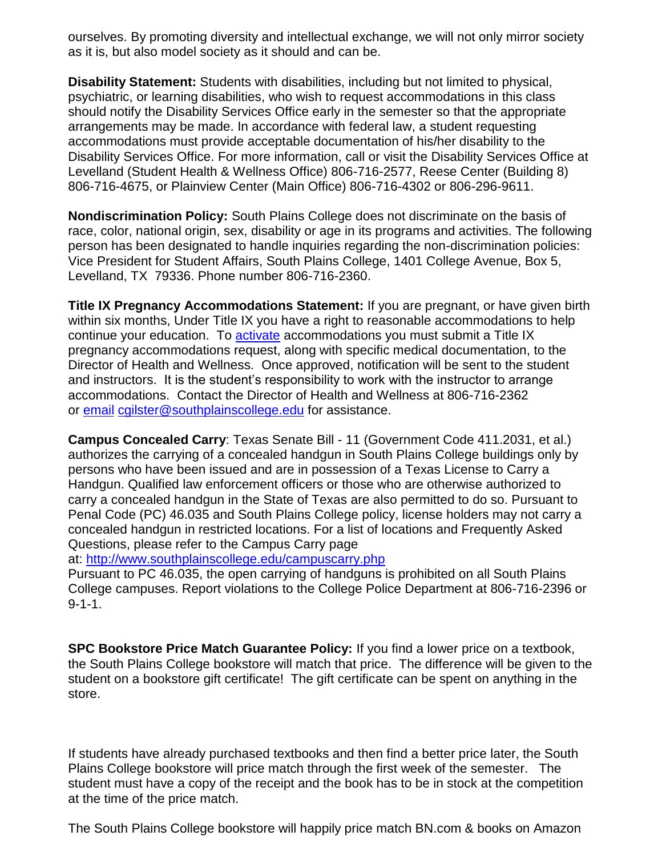ourselves. By promoting diversity and intellectual exchange, we will not only mirror society as it is, but also model society as it should and can be.

**Disability Statement:** Students with disabilities, including but not limited to physical, psychiatric, or learning disabilities, who wish to request accommodations in this class should notify the Disability Services Office early in the semester so that the appropriate arrangements may be made. In accordance with federal law, a student requesting accommodations must provide acceptable documentation of his/her disability to the Disability Services Office. For more information, call or visit the Disability Services Office at Levelland (Student Health & Wellness Office) 806-716-2577, Reese Center (Building 8) 806-716-4675, or Plainview Center (Main Office) 806-716-4302 or 806-296-9611.

**Nondiscrimination Policy:** South Plains College does not discriminate on the basis of race, color, national origin, sex, disability or age in its programs and activities. The following person has been designated to handle inquiries regarding the non-discrimination policies: Vice President for Student Affairs, South Plains College, 1401 College Avenue, Box 5, Levelland, TX 79336. Phone number 806-716-2360.

**Title IX Pregnancy Accommodations Statement:** If you are pregnant, or have given birth within six months, Under Title IX you have a right to reasonable accommodations to help continue your education. To [activate](http://www.southplainscollege.edu/employees/manualshandbooks/facultyhandbook/sec4.php) accommodations you must submit a Title IX pregnancy accommodations request, along with specific medical documentation, to the Director of Health and Wellness. Once approved, notification will be sent to the student and instructors. It is the student's responsibility to work with the instructor to arrange accommodations. Contact the Director of Health and Wellness at 806-716-2362 or [email](http://www.southplainscollege.edu/employees/manualshandbooks/facultyhandbook/sec4.php) [cgilster@southplainscollege.edu](mailto:cgilster@southplainscollege.edu) for assistance.

**Campus Concealed Carry**: Texas Senate Bill - 11 (Government Code 411.2031, et al.) authorizes the carrying of a concealed handgun in South Plains College buildings only by persons who have been issued and are in possession of a Texas License to Carry a Handgun. Qualified law enforcement officers or those who are otherwise authorized to carry a concealed handgun in the State of Texas are also permitted to do so. Pursuant to Penal Code (PC) 46.035 and South Plains College policy, license holders may not carry a concealed handgun in restricted locations. For a list of locations and Frequently Asked Questions, please refer to the Campus Carry page

at: <http://www.southplainscollege.edu/campuscarry.php>

Pursuant to PC 46.035, the open carrying of handguns is prohibited on all South Plains College campuses. Report violations to the College Police Department at 806-716-2396 or 9-1-1.

**SPC Bookstore Price Match Guarantee Policy:** If you find a lower price on a textbook, the South Plains College bookstore will match that price. The difference will be given to the student on a bookstore gift certificate! The gift certificate can be spent on anything in the store.

If students have already purchased textbooks and then find a better price later, the South Plains College bookstore will price match through the first week of the semester. The student must have a copy of the receipt and the book has to be in stock at the competition at the time of the price match.

The South Plains College bookstore will happily price match BN.com & books on Amazon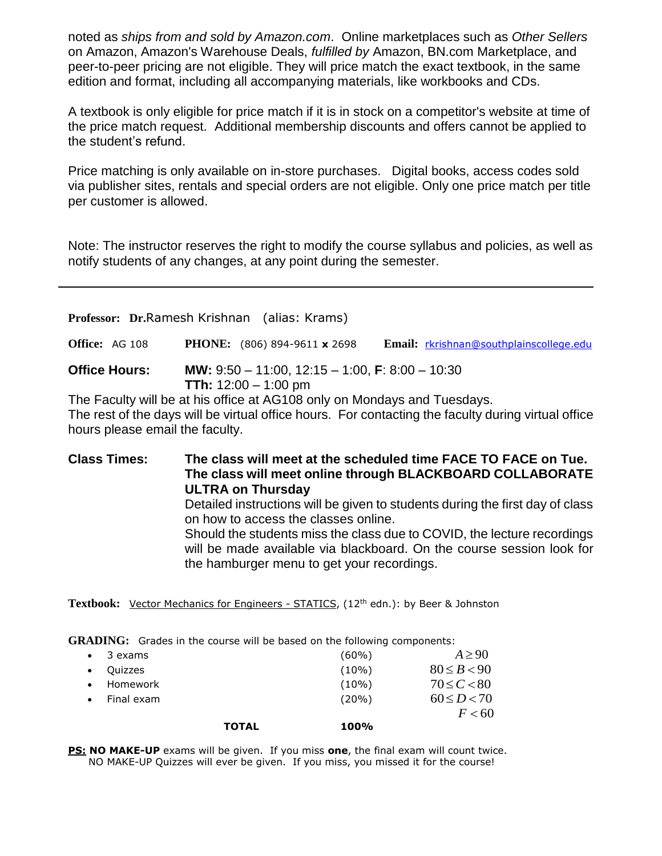noted as *ships from and sold by Amazon.com*. Online marketplaces such as *Other Sellers* on Amazon, Amazon's Warehouse Deals, *fulfilled by* Amazon, BN.com Marketplace, and peer-to-peer pricing are not eligible. They will price match the exact textbook, in the same edition and format, including all accompanying materials, like workbooks and CDs.

A textbook is only eligible for price match if it is in stock on a competitor's website at time of the price match request. Additional membership discounts and offers cannot be applied to the student's refund.

Price matching is only available on in-store purchases. Digital books, access codes sold via publisher sites, rentals and special orders are not eligible. Only one price match per title per customer is allowed.

Note: The instructor reserves the right to modify the course syllabus and policies, as well as notify students of any changes, at any point during the semester.

**Professor: Dr.**Ramesh Krishnan (alias: Krams) **Office:** AG 108 **PHONE:** (806) 894-9611 **x** 2698 **Email:** [rkrishnan@southplainscollege.edu](mailto:rkrishnan@southplainscollege.edu) **Office Hours: MW:** 9:50 – 11:00, 12:15 – 1:00, **F**: 8:00 – 10:30 **TTh:** 12:00 – 1:00 pm The Faculty will be at his office at AG108 only on Mondays and Tuesdays.

The rest of the days will be virtual office hours. For contacting the faculty during virtual office hours please email the faculty.

**Class Times: The class will meet at the scheduled time FACE TO FACE on Tue. The class will meet online through BLACKBOARD COLLABORATE ULTRA on Thursday** Detailed instructions will be given to students during the first day of class on how to access the classes online. Should the students miss the class due to COVID, the lecture recordings will be made available via blackboard. On the course session look for

the hamburger menu to get your recordings.

Textbook: Vector Mechanics for Engineers - STATICS, (12<sup>th</sup> edn.): by Beer & Johnston

**GRADING:** Grades in the course will be based on the following components:

|           | Final exam | $(20\%)$ | $60 \le D < 70$<br>F < 60 |
|-----------|------------|----------|---------------------------|
|           |            |          |                           |
|           |            |          |                           |
|           | Homework   | $(10\%)$ | $70 \le C < 80$           |
| $\bullet$ | Quizzes    | $(10\%)$ | $80 \le B < 90$           |
| $\bullet$ | 3 exams    | $(60\%)$ | $A \geq 90$               |

**PS: NO MAKE-UP** exams will be given. If you miss **one**, the final exam will count twice. NO MAKE-UP Quizzes will ever be given. If you miss, you missed it for the course!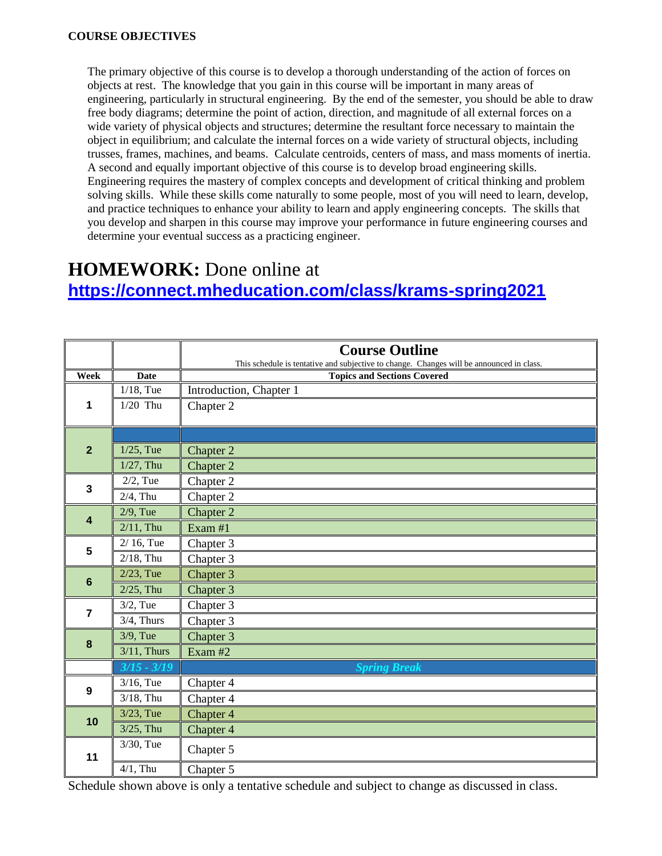#### **COURSE OBJECTIVES**

The primary objective of this course is to develop a thorough understanding of the action of forces on objects at rest. The knowledge that you gain in this course will be important in many areas of engineering, particularly in structural engineering. By the end of the semester, you should be able to draw free body diagrams; determine the point of action, direction, and magnitude of all external forces on a wide variety of physical objects and structures; determine the resultant force necessary to maintain the object in equilibrium; and calculate the internal forces on a wide variety of structural objects, including trusses, frames, machines, and beams. Calculate centroids, centers of mass, and mass moments of inertia. A second and equally important objective of this course is to develop broad engineering skills. Engineering requires the mastery of complex concepts and development of critical thinking and problem solving skills. While these skills come naturally to some people, most of you will need to learn, develop, and practice techniques to enhance your ability to learn and apply engineering concepts. The skills that you develop and sharpen in this course may improve your performance in future engineering courses and determine your eventual success as a practicing engineer.

# **HOMEWORK:** Done online at **<https://connect.mheducation.com/class/krams-spring2021>**

|                         |                | <b>Course Outline</b>                                                                    |  |  |  |
|-------------------------|----------------|------------------------------------------------------------------------------------------|--|--|--|
|                         |                | This schedule is tentative and subjective to change. Changes will be announced in class. |  |  |  |
| Week                    | <b>Date</b>    | <b>Topics and Sections Covered</b>                                                       |  |  |  |
| 1                       | $1/18$ , Tue   | Introduction, Chapter 1                                                                  |  |  |  |
|                         | $1/20$ Thu     | Chapter 2                                                                                |  |  |  |
|                         |                |                                                                                          |  |  |  |
| $\overline{2}$          |                |                                                                                          |  |  |  |
|                         | $1/25$ , Tue   | Chapter 2                                                                                |  |  |  |
|                         | $1/27$ , Thu   | Chapter 2                                                                                |  |  |  |
| $\mathbf{3}$            | $2/2$ , Tue    | Chapter 2                                                                                |  |  |  |
|                         | $2/4$ , Thu    | Chapter 2                                                                                |  |  |  |
|                         | $2/9$ , Tue    | Chapter 2                                                                                |  |  |  |
| $\overline{\mathbf{4}}$ | $2/11$ , Thu   | Exam #1                                                                                  |  |  |  |
| 5                       | $2/16$ , Tue   | Chapter 3                                                                                |  |  |  |
|                         | $2/18$ , Thu   | Chapter 3                                                                                |  |  |  |
| $6\phantom{1}$          | $2/23$ , Tue   | Chapter 3                                                                                |  |  |  |
|                         | $2/25$ , Thu   | Chapter 3                                                                                |  |  |  |
| $\overline{7}$          | $3/2$ , Tue    | Chapter 3                                                                                |  |  |  |
|                         | $3/4$ , Thurs  | Chapter 3                                                                                |  |  |  |
| 8                       | $3/9$ , Tue    | Chapter 3                                                                                |  |  |  |
|                         | $3/11$ , Thurs | Exam #2                                                                                  |  |  |  |
|                         | $3/15 - 3/19$  | <b>Spring Break</b>                                                                      |  |  |  |
| 9                       | $3/16$ , Tue   | Chapter 4                                                                                |  |  |  |
|                         | $3/18$ , Thu   | Chapter 4                                                                                |  |  |  |
| 10                      | $3/23$ , Tue   | Chapter 4                                                                                |  |  |  |
|                         | $3/25$ , Thu   | Chapter 4                                                                                |  |  |  |
| 11                      | 3/30, Tue      | Chapter 5                                                                                |  |  |  |
|                         | $4/1$ , Thu    | Chapter 5                                                                                |  |  |  |

Schedule shown above is only a tentative schedule and subject to change as discussed in class.